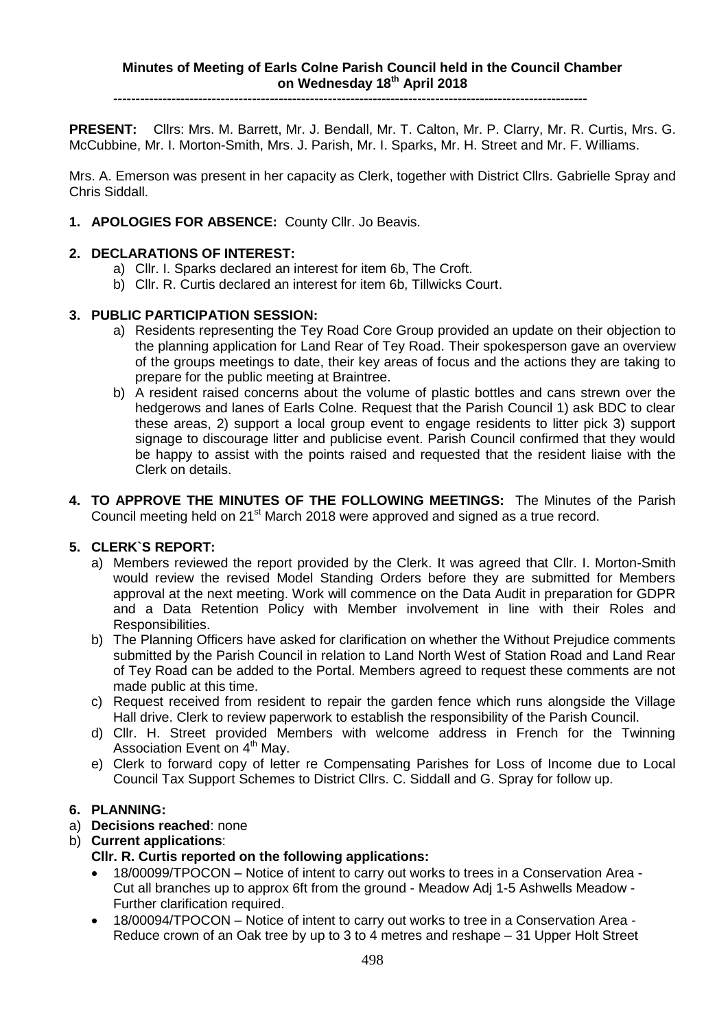**----------------------------------------------------------------------------------------------------------**

**PRESENT:** Cllrs: Mrs. M. Barrett, Mr. J. Bendall, Mr. T. Calton, Mr. P. Clarry, Mr. R. Curtis, Mrs. G. McCubbine, Mr. I. Morton-Smith, Mrs. J. Parish, Mr. I. Sparks, Mr. H. Street and Mr. F. Williams.

Mrs. A. Emerson was present in her capacity as Clerk, together with District Cllrs. Gabrielle Spray and Chris Siddall.

**1. APOLOGIES FOR ABSENCE:** County Cllr. Jo Beavis.

### **2. DECLARATIONS OF INTEREST:**

- a) Cllr. I. Sparks declared an interest for item 6b, The Croft.
- b) Cllr. R. Curtis declared an interest for item 6b, Tillwicks Court.

# **3. PUBLIC PARTICIPATION SESSION:**

- a) Residents representing the Tey Road Core Group provided an update on their objection to the planning application for Land Rear of Tey Road. Their spokesperson gave an overview of the groups meetings to date, their key areas of focus and the actions they are taking to prepare for the public meeting at Braintree.
- b) A resident raised concerns about the volume of plastic bottles and cans strewn over the hedgerows and lanes of Earls Colne. Request that the Parish Council 1) ask BDC to clear these areas, 2) support a local group event to engage residents to litter pick 3) support signage to discourage litter and publicise event. Parish Council confirmed that they would be happy to assist with the points raised and requested that the resident liaise with the Clerk on details.
- **4. TO APPROVE THE MINUTES OF THE FOLLOWING MEETINGS:** The Minutes of the Parish Council meeting held on 21<sup>st</sup> March 2018 were approved and signed as a true record.

### **5. CLERK`S REPORT:**

- a) Members reviewed the report provided by the Clerk. It was agreed that Cllr. I. Morton-Smith would review the revised Model Standing Orders before they are submitted for Members approval at the next meeting. Work will commence on the Data Audit in preparation for GDPR and a Data Retention Policy with Member involvement in line with their Roles and Responsibilities.
- b) The Planning Officers have asked for clarification on whether the Without Prejudice comments submitted by the Parish Council in relation to Land North West of Station Road and Land Rear of Tey Road can be added to the Portal. Members agreed to request these comments are not made public at this time.
- c) Request received from resident to repair the garden fence which runs alongside the Village Hall drive. Clerk to review paperwork to establish the responsibility of the Parish Council.
- d) Cllr. H. Street provided Members with welcome address in French for the Twinning Association Event on 4<sup>th</sup> May.
- e) Clerk to forward copy of letter re Compensating Parishes for Loss of Income due to Local Council Tax Support Schemes to District Cllrs. C. Siddall and G. Spray for follow up.

### **6. PLANNING:**

- a) **Decisions reached**: none
- b) **Current applications**:

### **Cllr. R. Curtis reported on the following applications:**

- 18/00099/TPOCON [Notice of intent to carry out works to trees in a Conservation Area](https://publicaccess.braintree.gov.uk/online-applications/applicationDetails.do?keyVal=P710AQBF07E00&activeTab=summary) [Cut all branches up to approx 6ft from the ground](https://publicaccess.braintree.gov.uk/online-applications/applicationDetails.do?keyVal=P710AQBF07E00&activeTab=summary) - Meadow Adj 1-5 Ashwells Meadow - Further clarification required.
- 18/00094/TPOCON [Notice of intent to carry out works to tree in a Conservation Area](https://publicaccess.braintree.gov.uk/online-applications/applicationDetails.do?keyVal=P6O2SZBF07E00&activeTab=summary) [Reduce crown of an Oak tree by up to 3 to 4 metres and reshape](https://publicaccess.braintree.gov.uk/online-applications/applicationDetails.do?keyVal=P6O2SZBF07E00&activeTab=summary) – 31 Upper Holt Street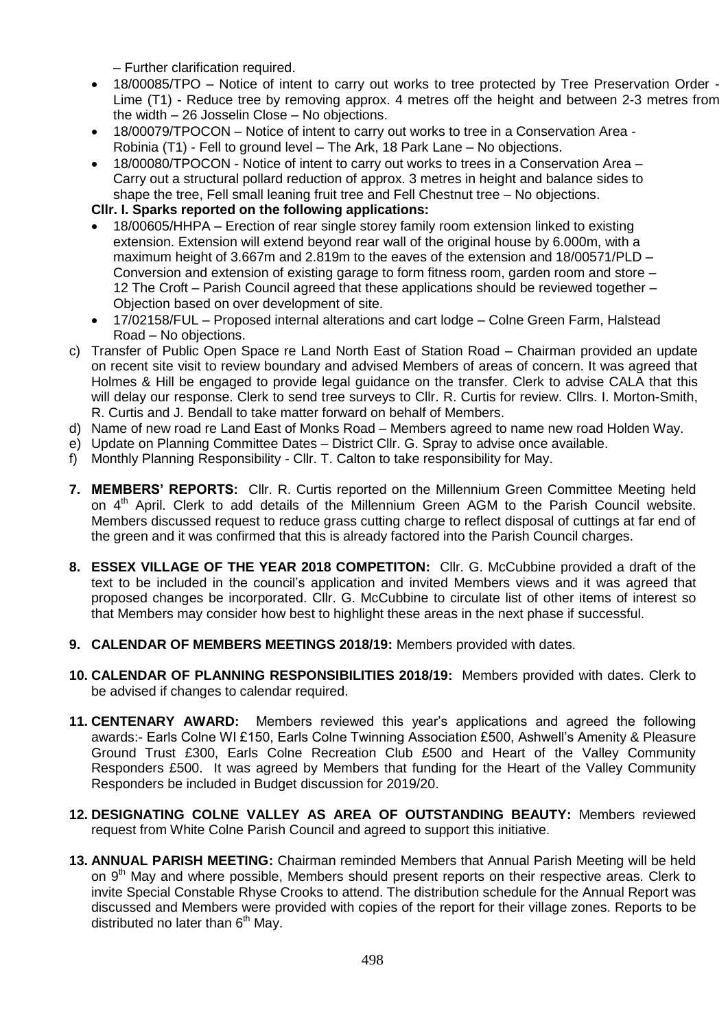– Further clarification required.

- 18/00085/TPO Notice of intent to carry out works to tree protected by Tree Preservation Order Lime (T1) - Reduce tree by removing approx. 4 metres off the height and between 2-3 metres from the width – 26 Josselin Close – No objections.
- 18/00079/TPOCON Notice of intent to carry out [works to tree in a Conservation Area -](https://publicaccess.braintree.gov.uk/online-applications/applicationDetails.do?keyVal=P5XKWZBFHNI00&activeTab=summary) Robinia (T1) - [Fell to ground level](https://publicaccess.braintree.gov.uk/online-applications/applicationDetails.do?keyVal=P5XKWZBFHNI00&activeTab=summary) – The Ark, 18 Park Lane – No objections.
- 18/00080/TPOCON [Notice of intent to carry out works to trees in a Conservation Area –](https://publicaccess.braintree.gov.uk/online-applications/applicationDetails.do?keyVal=P5Y3FABF07E00&activeTab=summary) [Carry out a structural pollard reduction of approx. 3 metres in height and balance sides to](https://publicaccess.braintree.gov.uk/online-applications/applicationDetails.do?keyVal=P5Y3FABF07E00&activeTab=summary)  [shape the tree, Fell small leaning fruit tree and Fell Chestnut tree](https://publicaccess.braintree.gov.uk/online-applications/applicationDetails.do?keyVal=P5Y3FABF07E00&activeTab=summary) – No objections.

**Cllr. I. Sparks reported on the following applications:**

- 18/00605/HHPA [Erection of rear single storey family room extension linked to existing](https://publicaccess.braintree.gov.uk/online-applications/applicationDetails.do?keyVal=P6NKWRBF00A00&activeTab=summary)  [extension. Extension will extend beyond rear wall of the original house by 6.000m, with a](https://publicaccess.braintree.gov.uk/online-applications/applicationDetails.do?keyVal=P6NKWRBF00A00&activeTab=summary)  [maximum height of 3.667m and 2.819m to the eaves of the extension](https://publicaccess.braintree.gov.uk/online-applications/applicationDetails.do?keyVal=P6NKWRBF00A00&activeTab=summary) and 18/00571/PLD – [Conversion and extension of existing garage to form fitness room, garden room and store](https://publicaccess.braintree.gov.uk/online-applications/applicationDetails.do?keyVal=P68M51BFHRE00&activeTab=summary) – 12 The Croft – Parish Council agreed that these applications should be reviewed together – Objection based on over development of site.
- 17/02158/FUL Proposed internal alterations and cart lodge Colne Green Farm, Halstead Road – No objections.
- c) Transfer of Public Open Space re Land North East of Station Road Chairman provided an update on recent site visit to review boundary and advised Members of areas of concern. It was agreed that Holmes & Hill be engaged to provide legal guidance on the transfer. Clerk to advise CALA that this will delay our response. Clerk to send tree surveys to Cllr. R. Curtis for review. Cllrs. I. Morton-Smith, R. Curtis and J. Bendall to take matter forward on behalf of Members.
- d) Name of new road re Land East of Monks Road Members agreed to name new road Holden Way.
- e) Update on Planning Committee Dates District Cllr. G. Spray to advise once available.
- f) Monthly Planning Responsibility Cllr. T. Calton to take responsibility for May.
- **7. MEMBERS' REPORTS:** Cllr. R. Curtis reported on the Millennium Green Committee Meeting held on 4<sup>th</sup> April. Clerk to add details of the Millennium Green AGM to the Parish Council website. Members discussed request to reduce grass cutting charge to reflect disposal of cuttings at far end of the green and it was confirmed that this is already factored into the Parish Council charges.
- **8. ESSEX VILLAGE OF THE YEAR 2018 COMPETITON:** Cllr. G. McCubbine provided a draft of the text to be included in the council's application and invited Members views and it was agreed that proposed changes be incorporated. Cllr. G. McCubbine to circulate list of other items of interest so that Members may consider how best to highlight these areas in the next phase if successful.
- **9. CALENDAR OF MEMBERS MEETINGS 2018/19:** Members provided with dates.
- **10. CALENDAR OF PLANNING RESPONSIBILITIES 2018/19:** Members provided with dates. Clerk to be advised if changes to calendar required.
- **11. CENTENARY AWARD:** Members reviewed this year's applications and agreed the following awards:- Earls Colne WI £150, Earls Colne Twinning Association £500, Ashwell's Amenity & Pleasure Ground Trust £300, Earls Colne Recreation Club £500 and Heart of the Valley Community Responders £500. It was agreed by Members that funding for the Heart of the Valley Community Responders be included in Budget discussion for 2019/20.
- **12. DESIGNATING COLNE VALLEY AS AREA OF OUTSTANDING BEAUTY:** Members reviewed request from White Colne Parish Council and agreed to support this initiative.
- **13. ANNUAL PARISH MEETING:** Chairman reminded Members that Annual Parish Meeting will be held on 9<sup>th</sup> May and where possible, Members should present reports on their respective areas. Clerk to invite Special Constable Rhyse Crooks to attend. The distribution schedule for the Annual Report was discussed and Members were provided with copies of the report for their village zones. Reports to be distributed no later than  $6<sup>th</sup>$  May.